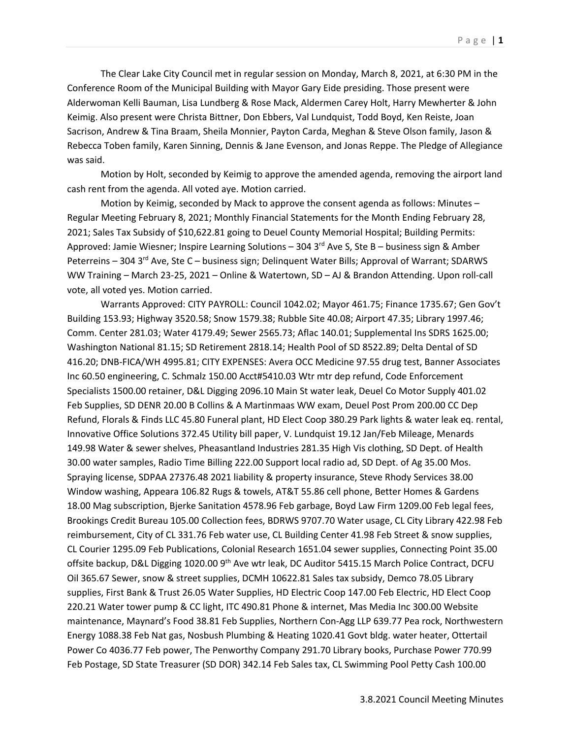The Clear Lake City Council met in regular session on Monday, March 8, 2021, at 6:30 PM in the Conference Room of the Municipal Building with Mayor Gary Eide presiding. Those present were Alderwoman Kelli Bauman, Lisa Lundberg & Rose Mack, Aldermen Carey Holt, Harry Mewherter & John Keimig. Also present were Christa Bittner, Don Ebbers, Val Lundquist, Todd Boyd, Ken Reiste, Joan Sacrison, Andrew & Tina Braam, Sheila Monnier, Payton Carda, Meghan & Steve Olson family, Jason & Rebecca Toben family, Karen Sinning, Dennis & Jane Evenson, and Jonas Reppe. The Pledge of Allegiance was said.

Motion by Holt, seconded by Keimig to approve the amended agenda, removing the airport land cash rent from the agenda. All voted aye. Motion carried.

Motion by Keimig, seconded by Mack to approve the consent agenda as follows: Minutes – Regular Meeting February 8, 2021; Monthly Financial Statements for the Month Ending February 28, 2021; Sales Tax Subsidy of \$10,622.81 going to Deuel County Memorial Hospital; Building Permits: Approved: Jamie Wiesner; Inspire Learning Solutions - 304 3<sup>rd</sup> Ave S, Ste B - business sign & Amber Peterreins – 304 3<sup>rd</sup> Ave, Ste C – business sign; Delinquent Water Bills; Approval of Warrant; SDARWS WW Training – March 23-25, 2021 – Online & Watertown, SD – AJ & Brandon Attending. Upon roll-call vote, all voted yes. Motion carried.

Warrants Approved: CITY PAYROLL: Council 1042.02; Mayor 461.75; Finance 1735.67; Gen Gov't Building 153.93; Highway 3520.58; Snow 1579.38; Rubble Site 40.08; Airport 47.35; Library 1997.46; Comm. Center 281.03; Water 4179.49; Sewer 2565.73; Aflac 140.01; Supplemental Ins SDRS 1625.00; Washington National 81.15; SD Retirement 2818.14; Health Pool of SD 8522.89; Delta Dental of SD 416.20; DNB-FICA/WH 4995.81; CITY EXPENSES: Avera OCC Medicine 97.55 drug test, Banner Associates Inc 60.50 engineering, C. Schmalz 150.00 Acct#5410.03 Wtr mtr dep refund, Code Enforcement Specialists 1500.00 retainer, D&L Digging 2096.10 Main St water leak, Deuel Co Motor Supply 401.02 Feb Supplies, SD DENR 20.00 B Collins & A Martinmaas WW exam, Deuel Post Prom 200.00 CC Dep Refund, Florals & Finds LLC 45.80 Funeral plant, HD Elect Coop 380.29 Park lights & water leak eq. rental, Innovative Office Solutions 372.45 Utility bill paper, V. Lundquist 19.12 Jan/Feb Mileage, Menards 149.98 Water & sewer shelves, Pheasantland Industries 281.35 High Vis clothing, SD Dept. of Health 30.00 water samples, Radio Time Billing 222.00 Support local radio ad, SD Dept. of Ag 35.00 Mos. Spraying license, SDPAA 27376.48 2021 liability & property insurance, Steve Rhody Services 38.00 Window washing, Appeara 106.82 Rugs & towels, AT&T 55.86 cell phone, Better Homes & Gardens 18.00 Mag subscription, Bjerke Sanitation 4578.96 Feb garbage, Boyd Law Firm 1209.00 Feb legal fees, Brookings Credit Bureau 105.00 Collection fees, BDRWS 9707.70 Water usage, CL City Library 422.98 Feb reimbursement, City of CL 331.76 Feb water use, CL Building Center 41.98 Feb Street & snow supplies, CL Courier 1295.09 Feb Publications, Colonial Research 1651.04 sewer supplies, Connecting Point 35.00 offsite backup, D&L Digging 1020.00 9<sup>th</sup> Ave wtr leak, DC Auditor 5415.15 March Police Contract, DCFU Oil 365.67 Sewer, snow & street supplies, DCMH 10622.81 Sales tax subsidy, Demco 78.05 Library supplies, First Bank & Trust 26.05 Water Supplies, HD Electric Coop 147.00 Feb Electric, HD Elect Coop 220.21 Water tower pump & CC light, ITC 490.81 Phone & internet, Mas Media Inc 300.00 Website maintenance, Maynard's Food 38.81 Feb Supplies, Northern Con-Agg LLP 639.77 Pea rock, Northwestern Energy 1088.38 Feb Nat gas, Nosbush Plumbing & Heating 1020.41 Govt bldg. water heater, Ottertail Power Co 4036.77 Feb power, The Penworthy Company 291.70 Library books, Purchase Power 770.99 Feb Postage, SD State Treasurer (SD DOR) 342.14 Feb Sales tax, CL Swimming Pool Petty Cash 100.00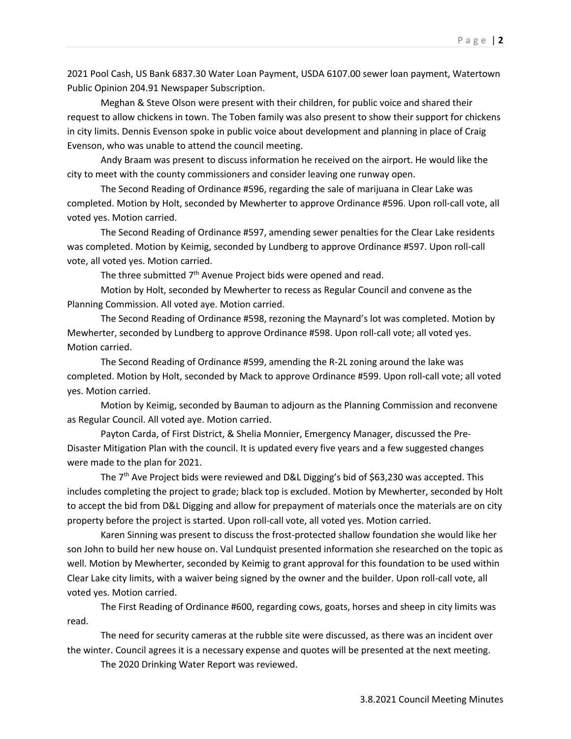2021 Pool Cash, US Bank 6837.30 Water Loan Payment, USDA 6107.00 sewer loan payment, Watertown Public Opinion 204.91 Newspaper Subscription.

Meghan & Steve Olson were present with their children, for public voice and shared their request to allow chickens in town. The Toben family was also present to show their support for chickens in city limits. Dennis Evenson spoke in public voice about development and planning in place of Craig Evenson, who was unable to attend the council meeting.

Andy Braam was present to discuss information he received on the airport. He would like the city to meet with the county commissioners and consider leaving one runway open.

The Second Reading of Ordinance #596, regarding the sale of marijuana in Clear Lake was completed. Motion by Holt, seconded by Mewherter to approve Ordinance #596. Upon roll-call vote, all voted yes. Motion carried.

The Second Reading of Ordinance #597, amending sewer penalties for the Clear Lake residents was completed. Motion by Keimig, seconded by Lundberg to approve Ordinance #597. Upon roll-call vote, all voted yes. Motion carried.

The three submitted 7<sup>th</sup> Avenue Project bids were opened and read.

Motion by Holt, seconded by Mewherter to recess as Regular Council and convene as the Planning Commission. All voted aye. Motion carried.

The Second Reading of Ordinance #598, rezoning the Maynard's lot was completed. Motion by Mewherter, seconded by Lundberg to approve Ordinance #598. Upon roll-call vote; all voted yes. Motion carried.

The Second Reading of Ordinance #599, amending the R-2L zoning around the lake was completed. Motion by Holt, seconded by Mack to approve Ordinance #599. Upon roll-call vote; all voted yes. Motion carried.

Motion by Keimig, seconded by Bauman to adjourn as the Planning Commission and reconvene as Regular Council. All voted aye. Motion carried.

Payton Carda, of First District, & Shelia Monnier, Emergency Manager, discussed the Pre-Disaster Mitigation Plan with the council. It is updated every five years and a few suggested changes were made to the plan for 2021.

The 7<sup>th</sup> Ave Project bids were reviewed and D&L Digging's bid of \$63,230 was accepted. This includes completing the project to grade; black top is excluded. Motion by Mewherter, seconded by Holt to accept the bid from D&L Digging and allow for prepayment of materials once the materials are on city property before the project is started. Upon roll-call vote, all voted yes. Motion carried.

Karen Sinning was present to discuss the frost-protected shallow foundation she would like her son John to build her new house on. Val Lundquist presented information she researched on the topic as well. Motion by Mewherter, seconded by Keimig to grant approval for this foundation to be used within Clear Lake city limits, with a waiver being signed by the owner and the builder. Upon roll-call vote, all voted yes. Motion carried.

The First Reading of Ordinance #600, regarding cows, goats, horses and sheep in city limits was read.

The need for security cameras at the rubble site were discussed, as there was an incident over the winter. Council agrees it is a necessary expense and quotes will be presented at the next meeting.

The 2020 Drinking Water Report was reviewed.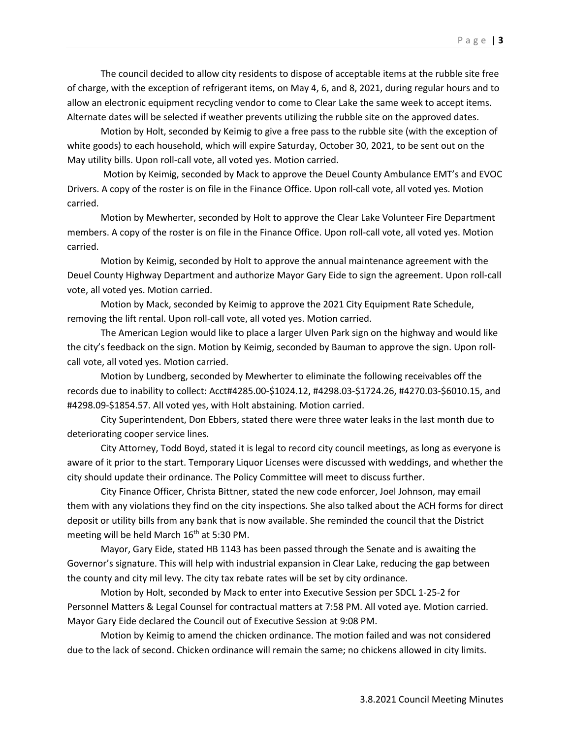The council decided to allow city residents to dispose of acceptable items at the rubble site free of charge, with the exception of refrigerant items, on May 4, 6, and 8, 2021, during regular hours and to allow an electronic equipment recycling vendor to come to Clear Lake the same week to accept items. Alternate dates will be selected if weather prevents utilizing the rubble site on the approved dates.

Motion by Holt, seconded by Keimig to give a free pass to the rubble site (with the exception of white goods) to each household, which will expire Saturday, October 30, 2021, to be sent out on the May utility bills. Upon roll-call vote, all voted yes. Motion carried.

Motion by Keimig, seconded by Mack to approve the Deuel County Ambulance EMT's and EVOC Drivers. A copy of the roster is on file in the Finance Office. Upon roll-call vote, all voted yes. Motion carried.

Motion by Mewherter, seconded by Holt to approve the Clear Lake Volunteer Fire Department members. A copy of the roster is on file in the Finance Office. Upon roll-call vote, all voted yes. Motion carried.

Motion by Keimig, seconded by Holt to approve the annual maintenance agreement with the Deuel County Highway Department and authorize Mayor Gary Eide to sign the agreement. Upon roll-call vote, all voted yes. Motion carried.

Motion by Mack, seconded by Keimig to approve the 2021 City Equipment Rate Schedule, removing the lift rental. Upon roll-call vote, all voted yes. Motion carried.

The American Legion would like to place a larger Ulven Park sign on the highway and would like the city's feedback on the sign. Motion by Keimig, seconded by Bauman to approve the sign. Upon rollcall vote, all voted yes. Motion carried.

Motion by Lundberg, seconded by Mewherter to eliminate the following receivables off the records due to inability to collect: Acct#4285.00-\$1024.12, #4298.03-\$1724.26, #4270.03-\$6010.15, and #4298.09-\$1854.57. All voted yes, with Holt abstaining. Motion carried.

City Superintendent, Don Ebbers, stated there were three water leaks in the last month due to deteriorating cooper service lines.

City Attorney, Todd Boyd, stated it is legal to record city council meetings, as long as everyone is aware of it prior to the start. Temporary Liquor Licenses were discussed with weddings, and whether the city should update their ordinance. The Policy Committee will meet to discuss further.

City Finance Officer, Christa Bittner, stated the new code enforcer, Joel Johnson, may email them with any violations they find on the city inspections. She also talked about the ACH forms for direct deposit or utility bills from any bank that is now available. She reminded the council that the District meeting will be held March  $16<sup>th</sup>$  at 5:30 PM.

Mayor, Gary Eide, stated HB 1143 has been passed through the Senate and is awaiting the Governor's signature. This will help with industrial expansion in Clear Lake, reducing the gap between the county and city mil levy. The city tax rebate rates will be set by city ordinance.

Motion by Holt, seconded by Mack to enter into Executive Session per SDCL 1-25-2 for Personnel Matters & Legal Counsel for contractual matters at 7:58 PM. All voted aye. Motion carried. Mayor Gary Eide declared the Council out of Executive Session at 9:08 PM.

Motion by Keimig to amend the chicken ordinance. The motion failed and was not considered due to the lack of second. Chicken ordinance will remain the same; no chickens allowed in city limits.